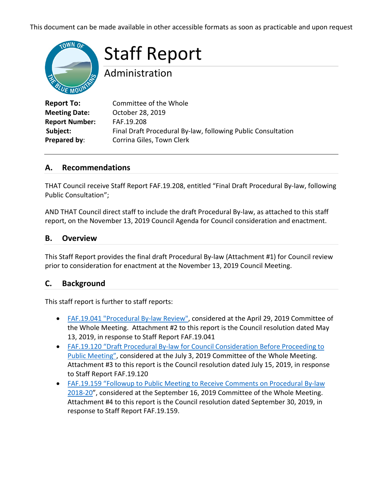This document can be made available in other accessible formats as soon as practicable and upon request



Staff Report

Administration

| <b>Report To:</b>     | Committee of the Whole                                       |
|-----------------------|--------------------------------------------------------------|
| <b>Meeting Date:</b>  | October 28, 2019                                             |
| <b>Report Number:</b> | FAF.19.208                                                   |
| Subject:              | Final Draft Procedural By-law, following Public Consultation |
| Prepared by:          | Corrina Giles, Town Clerk                                    |

#### **A. Recommendations**

THAT Council receive Staff Report FAF.19.208, entitled "Final Draft Procedural By-law, following Public Consultation";

AND THAT Council direct staff to include the draft Procedural By-law, as attached to this staff report, on the November 13, 2019 Council Agenda for Council consideration and enactment.

#### **B. Overview**

This Staff Report provides the final draft Procedural By-law (Attachment #1) for Council review prior to consideration for enactment at the November 13, 2019 Council Meeting.

#### **C. Background**

This staff report is further to staff reports:

- [FAF.19.041 "Procedural By-law Review",](https://thebluemountains.ca/document_viewer.cfm?event_doc=1720) considered at the April 29, 2019 Committee of the Whole Meeting. Attachment #2 to this report is the Council resolution dated May 13, 2019, in response to Staff Report FAF.19.041
- [FAF.19.120 "Draft Procedural By-law for Council Consideration Before Proceeding to](https://thebluemountains.ca/document_viewer.cfm?event_doc=2098)  [Public Meeting",](https://thebluemountains.ca/document_viewer.cfm?event_doc=2098) considered at the July 3, 2019 Committee of the Whole Meeting. Attachment #3 to this report is the Council resolution dated July 15, 2019, in response to Staff Report FAF.19.120
- [FAF.19.159 "Followup to Public Meeting to Receive Comments on Procedural By-law](https://thebluemountains.ca/document_viewer.cfm?event_doc=2424)  [2018-20"](https://thebluemountains.ca/document_viewer.cfm?event_doc=2424), considered at the September 16, 2019 Committee of the Whole Meeting. Attachment #4 to this report is the Council resolution dated September 30, 2019, in response to Staff Report FAF.19.159.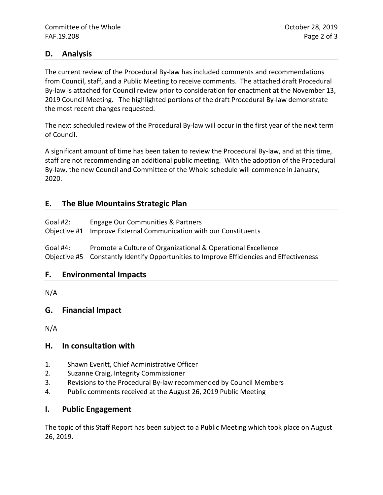#### **D. Analysis**

The current review of the Procedural By-law has included comments and recommendations from Council, staff, and a Public Meeting to receive comments. The attached draft Procedural By-law is attached for Council review prior to consideration for enactment at the November 13, 2019 Council Meeting. The highlighted portions of the draft Procedural By-law demonstrate the most recent changes requested.

The next scheduled review of the Procedural By-law will occur in the first year of the next term of Council.

A significant amount of time has been taken to review the Procedural By-law, and at this time, staff are not recommending an additional public meeting. With the adoption of the Procedural By-law, the new Council and Committee of the Whole schedule will commence in January, 2020.

#### **E. The Blue Mountains Strategic Plan**

| Goal #2: | Engage Our Communities & Partners<br>Objective #1 Improve External Communication with our Constituents |
|----------|--------------------------------------------------------------------------------------------------------|
| Goal #4: | Promote a Culture of Organizational & Operational Excellence                                           |

Objective #5 Constantly Identify Opportunities to Improve Efficiencies and Effectiveness

#### **F. Environmental Impacts**

N/A

#### **G. Financial Impact**

N/A

#### **H. In consultation with**

- 1. Shawn Everitt, Chief Administrative Officer
- 2. Suzanne Craig, Integrity Commissioner
- 3. Revisions to the Procedural By-law recommended by Council Members
- 4. Public comments received at the August 26, 2019 Public Meeting

#### **I. Public Engagement**

The topic of this Staff Report has been subject to a Public Meeting which took place on August 26, 2019.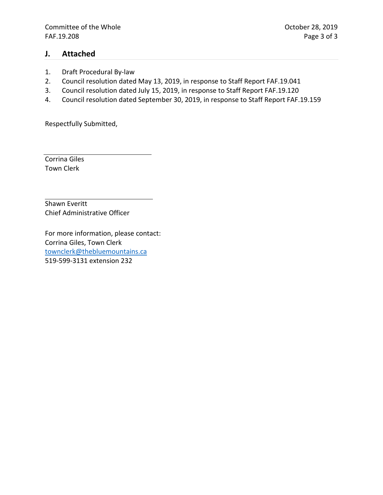#### **J. Attached**

- 1. Draft Procedural By-law
- 2. Council resolution dated May 13, 2019, in response to Staff Report FAF.19.041
- 3. Council resolution dated July 15, 2019, in response to Staff Report FAF.19.120
- 4. Council resolution dated September 30, 2019, in response to Staff Report FAF.19.159

Respectfully Submitted,

Corrina Giles Town Clerk

Shawn Everitt Chief Administrative Officer

For more information, please contact: Corrina Giles, Town Clerk [townclerk@thebluemountains.ca](mailto:townclerk@thebluemountains.ca) 519-599-3131 extension 232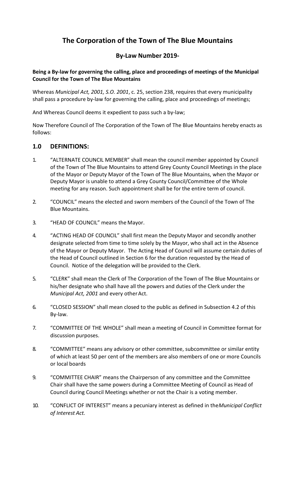# **The Corporation of the Town of The Blue Mountains**

# **By-Law Number 2019-**

**Being a By-law for governing the calling, place and proceedings of meetings of the Municipal Council for the Town of The Blue Mountains**

Whereas *Municipal Act, 2001, S.O. 2001*, c. 25, section 238, requires that every municipality shall pass a procedure by-law for governing the calling, place and proceedings of meetings;

And Whereas Council deems it expedient to pass such a by-law;

Now Therefore Council of The Corporation of the Town of The Blue Mountains hereby enacts as follows:

#### **1.0 DEFINITIONS:**

- 1. "ALTERNATE COUNCIL MEMBER" shall mean the council member appointed by Council of the Town of The Blue Mountains to attend Grey County Council Meetings in the place of the Mayor or Deputy Mayor of the Town of The Blue Mountains, when the Mayor or Deputy Mayor is unable to attend a Grey County Council/Committee of the Whole meeting for any reason. Such appointment shall be for the entire term of council.
- 2. "COUNCIL" means the elected and sworn members of the Council of the Town of The Blue Mountains.
- 3. "HEAD OF COUNCIL" means the Mayor.
- 4. "ACTING HEAD OF COUNCIL" shall first mean the Deputy Mayor and secondly another designate selected from time to time solely by the Mayor, who shall act in the Absence of the Mayor or Deputy Mayor. The Acting Head of Council will assume certain duties of the Head of Council outlined in Section 6 for the duration requested by the Head of Council. Notice of the delegation will be provided to the Clerk.
- 5. "CLERK" shall mean the Clerk of The Corporation of the Town of The Blue Mountains or his/her designate who shall have all the powers and duties of the Clerk under the *Municipal Act, 2001* and every other Act.
- 6. "CLOSED SESSION" shall mean closed to the public as defined in Subsection 4.2 of this By-law.
- 7. "COMMITTEE OF THE WHOLE" shall mean a meeting of Council in Committee format for discussion purposes.
- 8. "COMMITTEE" means any advisory or other committee, subcommittee or similar entity of which at least 50 per cent of the members are also members of one or more Councils or local boards
- 9. "COMMITTEE CHAIR" means the Chairperson of any committee and the Committee Chair shall have the same powers during a Committee Meeting of Council as Head of Council during Council Meetings whether or not the Chair is a voting member.
- 10. "CONFLICT OF INTEREST" means a pecuniary interest as defined in the*Municipal Conflict of Interest Act.*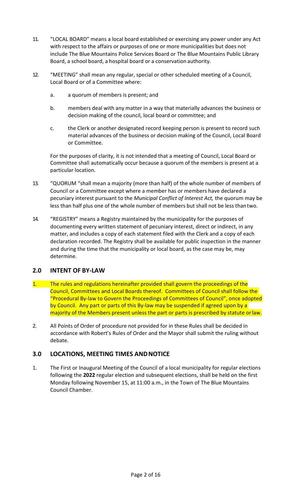- 11. "LOCAL BOARD" means a local board established or exercising any power under any Act with respect to the affairs or purposes of one or more municipalities but does not include The Blue Mountains Police Services Board or The Blue Mountains Public Library Board, a school board, a hospital board or a conservation authority.
- 12. "MEETING" shall mean any regular, special or other scheduled meeting of a Council, Local Board or of a Committee where:
	- a. a quorum of members is present; and
	- b. members deal with any matter in a way that materially advances the business or decision making of the council, local board or committee; and
	- c. the Clerk or another designated record keeping person is present to record such material advances of the business or decision making of the Council, Local Board or Committee.

For the purposes of clarity, it is not intended that a meeting of Council, Local Board or Committee shall automatically occur because a quorum of the members is present at a particular location.

- 13. "QUORUM "shall mean a majority (more than half) of the whole number of members of Council or a Committee except where a member has or members have declared a pecuniary interest pursuant to the *Municipal Conflict of Interest Act,* the quorum may be less than half plus one of the whole number of members but shall not be less thantwo.
- 14. "REGISTRY" means a Registry maintained by the municipality for the purposes of documenting every written statement of pecuniary interest, direct or indirect, in any matter, and includes a copy of each statement filed with the Clerk and a copy of each declaration recorded. The Registry shall be available for public inspection in the manner and during the time that the municipality or local board, as the case may be, may determine.

# **2.0 INTENT OF BY-LAW**

- 1. The rules and regulations hereinafter provided shall govern the proceedings of the Council, Committees and Local Boards thereof. Committees of Council shall follow the "Procedural By-law to Govern the Proceedings of Committees of Council", once adopted by Council. Any part or parts of this By-law may be suspended if agreed upon by a majority of the Members present unless the part or parts is prescribed by statute orlaw.
- 2. All Points of Order of procedure not provided for in these Rules shall be decided in accordance with Robert's Rules of Order and the Mayor shall submit the ruling without debate.

#### **3.0 LOCATIONS, MEETING TIMES ANDNOTICE**

1. The First or Inaugural Meeting of the Council of a local municipality for regular elections following the **2022** regular election and subsequent elections, shall be held on the first Monday following November 15, at 11:00 a.m., in the Town of The Blue Mountains Council Chamber.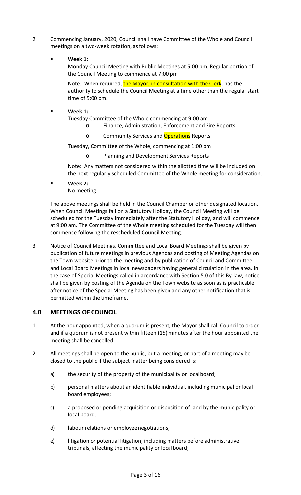- 2. Commencing January, 2020, Council shall have Committee of the Whole and Council meetings on a two-week rotation, as follows:
	- **Week 1:**

Monday Council Meeting with Public Meetings at 5:00 pm. Regular portion of the Council Meeting to commence at 7:00 pm

Note: When required, the Mayor, in consultation with the Clerk, has the authority to schedule the Council Meeting at a time other than the regular start time of 5:00 pm.

**Week 1:**

Tuesday Committee of the Whole commencing at 9:00 am.

- o Finance, Administration, Enforcement and Fire Reports
- o Community Services and **Operations** Reports

Tuesday, Committee of the Whole, commencing at 1:00 pm

o Planning and Development Services Reports

Note: Any matters not considered within the allotted time will be included on the next regularly scheduled Committee of the Whole meeting for consideration.

 **Week 2:** No meeting

The above meetings shall be held in the Council Chamber or other designated location. When Council Meetings fall on a Statutory Holiday, the Council Meeting will be scheduled for the Tuesday immediately after the Statutory Holiday, and will commence at 9:00 am. The Committee of the Whole meeting scheduled for the Tuesday will then commence following the rescheduled Council Meeting.

3. Notice of Council Meetings, Committee and Local Board Meetings shall be given by publication of future meetings in previous Agendas and posting of Meeting Agendas on the Town website prior to the meeting and by publication of Council and Committee and Local Board Meetings in local newspapers having general circulation in the area. In the case of Special Meetings called in accordance with Section 5.0 of this By-law, notice shall be given by posting of the Agenda on the Town website as soon as is practicable after notice of the Special Meeting has been given and any other notification that is permitted within the timeframe.

#### **4.0 MEETINGS OF COUNCIL**

- 1. At the hour appointed, when a quorum is present, the Mayor shall call Council to order and if a quorum is not present within fifteen (15) minutes after the hour appointed the meeting shall be cancelled.
- 2. All meetings shall be open to the public, but a meeting, or part of a meeting may be closed to the public if the subject matter being considered is:
	- a) the security of the property of the municipality or localboard;
	- b) personal matters about an identifiable individual, including municipal or local board employees;
	- c) a proposed or pending acquisition or disposition of land by the municipality or local board;
	- d) labour relations or employeenegotiations;
	- e) litigation or potential litigation, including matters before administrative tribunals, affecting the municipality or localboard;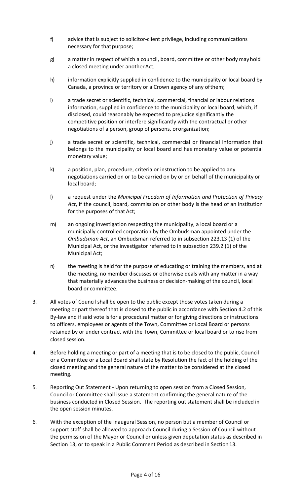- f) advice that is subject to solicitor-client privilege, including communications necessary for that purpose;
- g) a matter in respect of which a council, board, committee or other body mayhold a closed meeting under another Act;
- h) information explicitly supplied in confidence to the municipality or local board by Canada, a province or territory or a Crown agency of any ofthem;
- i) a trade secret or scientific, technical, commercial, financial or labour relations information, supplied in confidence to the municipality or local board, which, if disclosed, could reasonably be expected to prejudice significantly the competitive position or interfere significantly with the contractual or other negotiations of a person, group of persons, ororganization;
- j) a trade secret or scientific, technical, commercial or financial information that belongs to the municipality or local board and has monetary value or potential monetary value;
- k) a position, plan, procedure, criteria or instruction to be applied to any negotiations carried on or to be carried on by or on behalf of the municipality or local board;
- l) a request under the *Municipal Freedom of Information and Protection of Privacy Act*, if the council, board, commission or other body is the head of an institution for the purposes of that Act;
- m) an ongoing investigation respecting the municipality, a local board or a municipally-controlled corporation by the Ombudsman appointed under the *Ombudsman Act*, an Ombudsman referred to in subsection 223.13 (1) of the Municipal Act, or the investigator referred to in subsection 239.2 (1) of the Municipal Act;
- n) the meeting is held for the purpose of educating or training the members, and at the meeting, no member discusses or otherwise deals with any matter in a way that materially advances the business or decision-making of the council, local board or committee.
- 3. All votes of Council shall be open to the public except those votes taken during a meeting or part thereof that is closed to the public in accordance with Section 4.2 of this By-law and if said vote is for a procedural matter or for giving directions or instructions to officers, employees or agents of the Town, Committee or Local Board or persons retained by or under contract with the Town, Committee or local board or to rise from closed session.
- 4. Before holding a meeting or part of a meeting that is to be closed to the public, Council or a Committee or a Local Board shall state by Resolution the fact of the holding of the closed meeting and the general nature of the matter to be considered at the closed meeting.
- 5. Reporting Out Statement Upon returning to open session from a Closed Session, Council or Committee shall issue a statement confirming the general nature of the business conducted in Closed Session. The reporting out statement shall be included in the open session minutes.
- 6. With the exception of the Inaugural Session, no person but a member of Council or support staff shall be allowed to approach Council during a Session of Council without the permission of the Mayor or Council or unless given deputation status as described in Section 13, or to speak in a Public Comment Period as described in Section 13.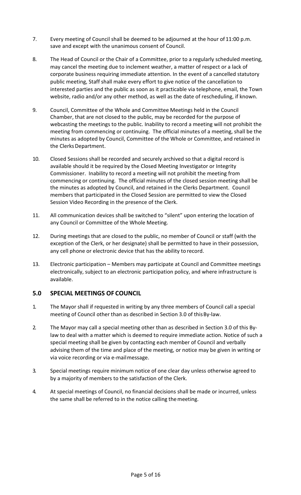- 7. Every meeting of Council shall be deemed to be adjourned at the hour of 11:00 p.m. save and except with the unanimous consent of Council.
- 8. The Head of Council or the Chair of a Committee, prior to a regularly scheduled meeting, may cancel the meeting due to inclement weather, a matter of respect or a lack of corporate business requiring immediate attention. In the event of a cancelled statutory public meeting, Staff shall make every effort to give notice of the cancellation to interested parties and the public as soon as it practicable via telephone, email, the Town website, radio and/or any other method, as well as the date of rescheduling, if known.
- 9. Council, Committee of the Whole and Committee Meetings held in the Council Chamber, that are not closed to the public, may be recorded for the purpose of webcasting the meetings to the public. Inability to record a meeting will not prohibit the meeting from commencing or continuing. The official minutes of a meeting, shall be the minutes as adopted by Council, Committee of the Whole or Committee, and retained in the Clerks Department.
- 10. Closed Sessions shall be recorded and securely archived so that a digital record is available should it be required by the Closed Meeting Investigator or Integrity Commissioner. Inability to record a meeting will not prohibit the meeting from commencing or continuing. The official minutes of the closed session meeting shall be the minutes as adopted by Council, and retained in the Clerks Department. Council members that participated in the Closed Session are permitted to view the Closed Session Video Recording in the presence of the Clerk.
- 11. All communication devices shall be switched to "silent" upon entering the location of any Council or Committee of the Whole Meeting.
- 12. During meetings that are closed to the public, no member of Council or staff (with the exception of the Clerk, or her designate) shall be permitted to have in their possession, any cell phone or electronic device that has the ability to record.
- 13. Electronic participation Members may participate at Council and Committee meetings electronically, subject to an electronic participation policy, and where infrastructure is available.

# **5.0 SPECIAL MEETINGS OF COUNCIL**

- 1. The Mayor shall if requested in writing by any three members of Council call a special meeting of Council other than as described in Section 3.0 of thisBy-law.
- 2. The Mayor may call a special meeting other than as described in Section 3.0 of this Bylaw to deal with a matter which is deemed to require immediate action. Notice of such a special meeting shall be given by contacting each member of Council and verbally advising them of the time and place of the meeting, or notice may be given in writing or via voice recording or via e-mailmessage.
- 3. Special meetings require minimum notice of one clear day unless otherwise agreed to by a majority of members to the satisfaction of the Clerk.
- 4. At special meetings of Council, no financial decisions shall be made or incurred, unless the same shall be referred to in the notice calling themeeting.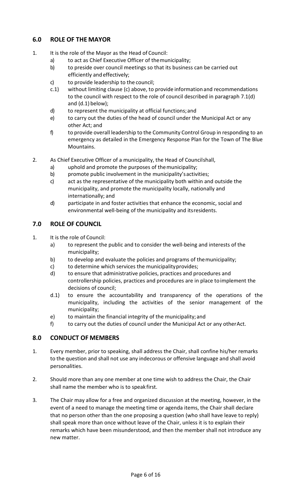# **6.0 ROLE OF THE MAYOR**

- 1. It is the role of the Mayor as the Head of Council:
	- a) to act as Chief Executive Officer of themunicipality;
	- b) to preside over council meetings so that its business can be carried out efficiently and effectively;
	- c) to provide leadership to the council;
	- c.1) without limiting clause (c) above, to provide informationand recommendations to the council with respect to the role of council described in paragraph 7.1(d) and (d.1) below);
	- d) to represent the municipality at official functions;and
	- e) to carry out the duties of the head of council under the Municipal Act or any other Act; and
	- f) to provide overall leadership to the Community Control Group in responding to an emergency as detailed in the Emergency Response Plan for the Town of The Blue Mountains.
- 2. As Chief Executive Officer of a municipality, the Head of Councilshall,
	- a) uphold and promote the purposes of themunicipality;
	- b) promote public involvement in the municipality's activities;
	- c) act as the representative of the municipality both within and outside the municipality, and promote the municipality locally, nationally and internationally; and
	- d) participate in and foster activities that enhance the economic, social and environmental well-being of the municipality and itsresidents.

# **7.0 ROLE OF COUNCIL**

- 1. It is the role of Council:
	- a) to represent the public and to consider the well-being and interests of the municipality;
	- b) to develop and evaluate the policies and programs of themunicipality;
	- c) to determine which services the municipalityprovides;
	- d) to ensure that administrative policies, practices and procedures and controllership policies, practices and procedures are in place toimplement the decisions of council;
	- d.1) to ensure the accountability and transparency of the operations of the municipality, including the activities of the senior management of the municipality;
	- e) to maintain the financial integrity of the municipality;and
	- f) to carry out the duties of council under the Municipal Act or any otherAct.

#### **8.0 CONDUCT OF MEMBERS**

- 1. Every member, prior to speaking, shall address the Chair, shall confine his/her remarks to the question and shall not use any indecorous or offensive language and shall avoid personalities.
- 2. Should more than any one member at one time wish to address the Chair, the Chair shall name the member who is to speak first.
- 3. The Chair may allow for a free and organized discussion at the meeting, however, in the event of a need to manage the meeting time or agenda items, the Chair shall declare that no person other than the one proposing a question (who shall have leave to reply) shall speak more than once without leave of the Chair, unless it is to explain their remarks which have been misunderstood, and then the member shall not introduce any new matter.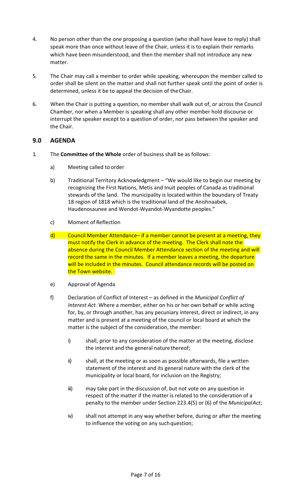- 4. No person other than the one proposing a question (who shall have leave to reply) shall speak more than once without leave of the Chair, unless it is to explain their remarks which have been misunderstood, and then the member shall not introduce any new matter.
- 5. The Chair may call a member to order while speaking, whereupon the member called to order shall be silent on the matter and shall not further speak until the point of order is determined, unless it be to appeal the decision of theChair.
- 6. When the Chair is putting a question, no member shall walk out of, or across the Council Chamber, nor when a Member is speaking shall any other member hold discourse or interrupt the speaker except to a question of order, nor pass between the speaker and the Chair.

# **9.0 AGENDA**

- 1. The **Committee of the Whole** order of business shall be as follows:
	- a) Meeting called to order
	- b) Traditional Territory Acknowledgment "We would like to begin our meeting by recognizing the First Nations, Metis and Inuit peoples of Canada as traditional stewards of the land. The municipality is located within the boundary of Treaty 18 region of 1818 which is the traditional land of the Anishnaabek, Haudenosaunee and Wendot-Wyandot-Wyandotte peoples."
	- c) Moment of Reflection
	- $\mathsf{d}$  Council Member Attendance– if a member cannot be present at a meeting, they must notify the Clerk in advance of the meeting. The Clerk shall note the absence during the Council Member Attendance section of the meeting and will record the same in the minutes. If a member leaves a meeting, the departure will be included in the minutes. Council attendance records will be posted on the Town website.
	- e) Approval of Agenda
	- f) Declaration of Conflict of Interest as defined in the *Municipal Conflict of Interest Act.* Where a member, either on his or her own behalf or while acting for, by, or through another, has any pecuniary interest, direct or indirect, in any matter and is present at a meeting of the council or local board at which the matter is the subject of the consideration, the member:
		- i) shall, prior to any consideration of the matter at the meeting, disclose the interest and the general nature thereof;
		- ii) shall, at the meeting or as soon as possible afterwards, file a written statement of the interest and its general nature with the clerk of the municipality or local board, for inclusion on the Registry;
		- iii) may take part in the discussion of, but not vote on any question in respect of the matter if the matter is related to the consideration of a penalty to the member under Section 223.4(5) or (6) of the *MunicipalAct*;
		- iv) shall not attempt in any way whether before, during or after the meeting to influence the voting on any such question;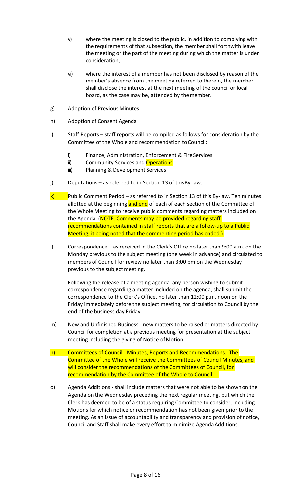- v) where the meeting is closed to the public, in addition to complying with the requirements of that subsection, the member shall forthwith leave the meeting or the part of the meeting during which the matter is under consideration;
- vi) where the interest of a member has not been disclosed by reason of the member's absence from the meeting referred to therein, the member shall disclose the interest at the next meeting of the council or local board, as the case may be, attended by themember.
- g) Adoption of Previous Minutes
- h) Adoption of Consent Agenda
- i) Staff Reports staff reports will be compiled as follows for consideration by the Committee of the Whole and recommendation toCouncil:
	- i) Finance, Administration, Enforcement & Fire Services
	- ii) Community Services and Operations
	- iii) Planning & Development Services
- j) Deputations as referred to in Section 13 of thisBy-law.
- k) Public Comment Period as referred to in Section 13 of this By-law. Ten minutes allotted at the beginning and end of each of each section of the Committee of the Whole Meeting to receive public comments regarding matters included on the Agenda. (NOTE: Comments may be provided regarding staff recommendations contained in staff reports that are a follow-up to a Public Meeting, it being noted that the commenting period has ended.)
- l) Correspondence as received in the Clerk's Office no later than 9:00 a.m. on the Monday previous to the subject meeting (one week in advance) and circulated to members of Council for review no later than 3:00 pm on the Wednesday previous to the subject meeting.

Following the release of a meeting agenda, any person wishing to submit correspondence regarding a matter included on the agenda, shall submit the correspondence to the Clerk's Office, no later than 12:00 p.m. noon on the Friday immediately before the subject meeting, for circulation to Council by the end of the business day Friday.

- m) New and Unfinished Business new matters to be raised or matters directed by Council for completion at a previous meeting for presentation at the subject meeting including the giving of Notice ofMotion.
- n) Committees of Council Minutes, Reports and Recommendations. The Committee of the Whole will receive the Committees of Council Minutes, and will consider the recommendations of the Committees of Council, for recommendation by the Committee of the Whole to Council.
- o) Agenda Additions shall include matters that were not able to be shownon the Agenda on the Wednesday preceding the next regular meeting, but which the Clerk has deemed to be of a status requiring Committee to consider, including Motions for which notice or recommendation has not been given prior to the meeting. As an issue of accountability and transparency and provision of notice, Council and Staff shall make every effort to minimize Agenda Additions.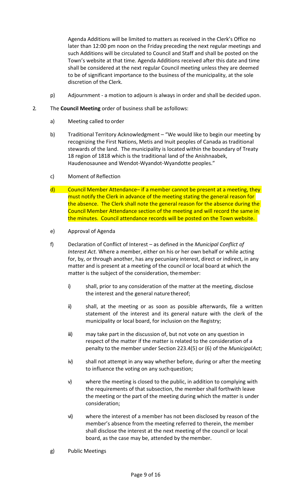Agenda Additions will be limited to matters as received in the Clerk's Office no later than 12:00 pm noon on the Friday preceding the next regular meetings and such Additions will be circulated to Council and Staff and shall be posted on the Town's website at that time. Agenda Additions received after this date and time shall be considered at the next regular Council meeting unless they are deemed to be of significant importance to the business of the municipality, at the sole discretion of the Clerk.

- p) Adjournment a motion to adjourn is always in order and shall be decided upon.
- 2. The **Council Meeting** order of business shall be asfollows:
	- a) Meeting called to order
	- b) Traditional Territory Acknowledgment "We would like to begin our meeting by recognizing the First Nations, Metis and Inuit peoples of Canada as traditional stewards of the land. The municipality is located within the boundary of Treaty 18 region of 1818 which is the traditional land of the Anishnaabek, Haudenosaunee and Wendot-Wyandot-Wyandotte peoples."
	- c) Moment of Reflection
	- d) Council Member Attendance– if a member cannot be present at a meeting, they must notify the Clerk in advance of the meeting stating the general reason for the absence. The Clerk shall note the general reason for the absence during the Council Member Attendance section of the meeting and will record the same in the minutes. Council attendance records will be posted on the Town website.
	- e) Approval of Agenda
	- f) Declaration of Conflict of Interest as defined in the *Municipal Conflict of Interest Act.* Where a member, either on his or her own behalf or while acting for, by, or through another, has any pecuniary interest, direct or indirect, in any matter and is present at a meeting of the council or local board at which the matter is the subject of the consideration, themember:
		- i) shall, prior to any consideration of the matter at the meeting, disclose the interest and the general nature thereof;
		- ii) shall, at the meeting or as soon as possible afterwards, file a written statement of the interest and its general nature with the clerk of the municipality or local board, for inclusion on the Registry;
		- iii) may take part in the discussion of, but not vote on any question in respect of the matter if the matter is related to the consideration of a penalty to the member under Section 223.4(5) or (6) of the *MunicipalAct*;
		- iv) shall not attempt in any way whether before, during or after the meeting to influence the voting on any such question;
		- v) where the meeting is closed to the public, in addition to complying with the requirements of that subsection, the member shall forthwith leave the meeting or the part of the meeting during which the matter is under consideration;
		- vi) where the interest of a member has not been disclosed by reason of the member's absence from the meeting referred to therein, the member shall disclose the interest at the next meeting of the council or local board, as the case may be, attended by themember.
	- g) Public Meetings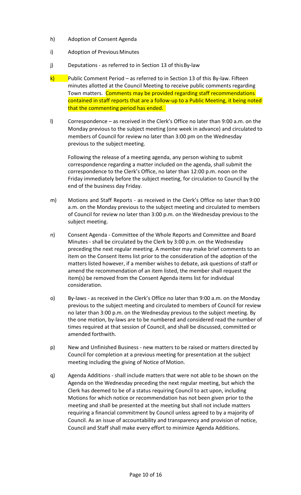- h) Adoption of Consent Agenda
- i) Adoption of Previous Minutes
- j) Deputations as referred to in Section 13 of this By-law
- $k$ ) Public Comment Period as referred to in Section 13 of this By-law. Fifteen minutes allotted at the Council Meeting to receive public comments regarding Town matters. Comments may be provided regarding staff recommendations contained in staff reports that are a follow-up to a Public Meeting, it being noted that the commenting period has ended.
- l) Correspondence as received in the Clerk's Office no later than 9:00 a.m. on the Monday previous to the subject meeting (one week in advance) and circulated to members of Council for review no later than 3:00 pm on the Wednesday previous to the subject meeting.

Following the release of a meeting agenda, any person wishing to submit correspondence regarding a matter included on the agenda, shall submit the correspondence to the Clerk's Office, no later than 12:00 p.m. noon on the Friday immediately before the subject meeting, for circulation to Council by the end of the business day Friday.

- m) Motions and Staff Reports as received in the Clerk's Office no later than 9:00 a.m. on the Monday previous to the subject meeting and circulated to members of Council for review no later than 3:00 p.m. on the Wednesday previous to the subject meeting.
- n) Consent Agenda Committee of the Whole Reports and Committee and Board Minutes - shall be circulated by the Clerk by 3:00 p.m. on the Wednesday preceding the next regular meeting. A member may make brief comments to an item on the Consent Items list prior to the consideration of the adoption of the matters listed however, if a member wishes to debate, ask questions of staff or amend the recommendation of an item listed, the member shall request the item(s) be removed from the Consent Agenda items list for individual consideration.
- o) By-laws as received in the Clerk's Office no later than 9:00 a.m. on the Monday previous to the subject meeting and circulated to members of Council for review no later than 3:00 p.m. on the Wednesday previous to the subject meeting. By the one motion, by-laws are to be numbered and considered read the number of times required at that session of Council, and shall be discussed, committed or amended forthwith.
- p) New and Unfinished Business new matters to be raised or matters directed by Council for completion at a previous meeting for presentation at the subject meeting including the giving of Notice of Motion.
- q) Agenda Additions shall include matters that were not able to be shown on the Agenda on the Wednesday preceding the next regular meeting, but which the Clerk has deemed to be of a status requiring Council to act upon, including Motions for which notice or recommendation has not been given prior to the meeting and shall be presented at the meeting but shall not include matters requiring a financial commitment by Council unless agreed to by a majority of Council. As an issue of accountability and transparency and provision of notice, Council and Staff shall make every effort to minimize Agenda Additions.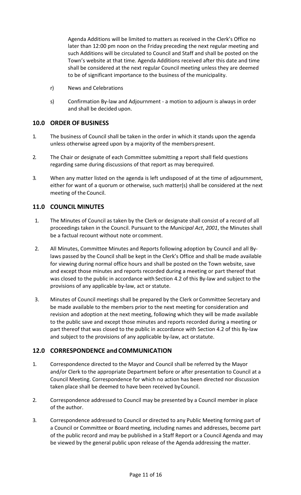Agenda Additions will be limited to matters as received in the Clerk's Office no later than 12:00 pm noon on the Friday preceding the next regular meeting and such Additions will be circulated to Council and Staff and shall be posted on the Town's website at that time. Agenda Additions received after this date and time shall be considered at the next regular Council meeting unless they are deemed to be of significant importance to the business of the municipality.

- r) News and Celebrations
- s) Confirmation By-law and Adjournment a motion to adjourn is always in order and shall be decided upon.

#### **10.0 ORDER OF BUSINESS**

- 1. The business of Council shall be taken in the order in which it stands upon the agenda unless otherwise agreed upon by a majority of the members present.
- 2. The Chair or designate of each Committee submitting a report shall field questions regarding same during discussions of that report as may berequired.
- 3. When any matter listed on the agenda is left undisposed of at the time of adjournment, either for want of a quorum or otherwise, such matter(s) shall be considered at the next meeting of the Council.

# **11.0 COUNCIL MINUTES**

- 1. The Minutes of Council as taken by the Clerk or designate shall consist of a record of all proceedings taken in the Council. Pursuant to the *Municipal Act*, *2001*, the Minutes shall be a factual recount without note or comment.
- 2. All Minutes, Committee Minutes and Reports following adoption by Council and all Bylaws passed by the Council shall be kept in the Clerk's Office and shall be made available for viewing during normal office hours and shall be posted on the Town website, save and except those minutes and reports recorded during a meeting or part thereof that was closed to the public in accordance with Section 4.2 of this By-law and subject to the provisions of any applicable by-law, act or statute.
- 3. Minutes of Council meetings shall be prepared by the Clerk orCommittee Secretary and be made available to the members prior to the next meeting for consideration and revision and adoption at the next meeting, following which they will be made available to the public save and except those minutes and reports recorded during a meeting or part thereof that was closed to the public in accordance with Section 4.2 of this By-law and subject to the provisions of any applicable by-law, act orstatute.

# **12.0 CORRESPONDENCE and COMMUNICATION**

- 1. Correspondence directed to the Mayor and Council shall be referred by the Mayor and/or Clerk to the appropriate Department before or after presentation to Council at a Council Meeting. Correspondence for which no action has been directed nor discussion taken place shall be deemed to have been received byCouncil.
- 2. Correspondence addressed to Council may be presented by a Council member in place of the author.
- 3. Correspondence addressed to Council or directed to any Public Meeting forming part of a Council or Committee or Board meeting, including names and addresses, become part of the public record and may be published in a Staff Report or a Council Agenda and may be viewed by the general public upon release of the Agenda addressing the matter.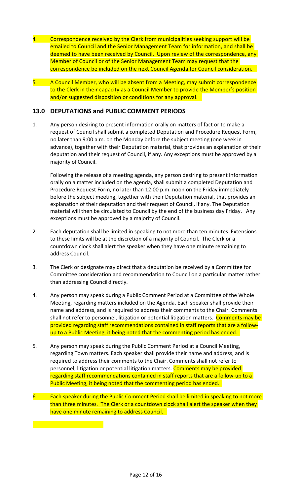- 4. Correspondence received by the Clerk from municipalities seeking support will be emailed to Council and the Senior Management Team for information, and shall be deemed to have been received by Council. Upon review of the correspondence, any Member of Council or of the Senior Management Team may request that the correspondence be included on the next Council Agenda for Council consideration.
- 5. A Council Member, who will be absent from a Meeting, may submit correspondence to the Clerk in their capacity as a Council Member to provide the Member's position and/or suggested disposition or conditions for any approval.

# **13.0 DEPUTATIONS and PUBLIC COMMENT PERIODS**

1. Any person desiring to present information orally on matters of fact or to make a request of Council shall submit a completed Deputation and Procedure Request Form, no later than 9:00 a.m. on the Monday before the subject meeting (one week in advance), together with their Deputation material, that provides an explanation of their deputation and their request of Council, if any. Any exceptions must be approved by a majority of Council.

Following the release of a meeting agenda, any person desiring to present information orally on a matter included on the agenda, shall submit a completed Deputation and Procedure Request Form, no later than 12:00 p.m. noon on the Friday immediately before the subject meeting, together with their Deputation material, that provides an explanation of their deputation and their request of Council, if any. The Deputation material will then be circulated to Council by the end of the business day Friday. Any exceptions must be approved by a majority of Council.

- 2. Each deputation shall be limited in speaking to not more than ten minutes. Extensions to these limits will be at the discretion of a majority of Council. The Clerk or a countdown clock shall alert the speaker when they have one minute remaining to address Council.
- 3. The Clerk or designate may direct that a deputation be received by a Committee for Committee consideration and recommendation to Council on a particular matter rather than addressing Council directly.
- 4. Any person may speak during a Public Comment Period at a Committee of the Whole Meeting, regarding matters included on the Agenda. Each speaker shall provide their name and address, and is required to address their comments to the Chair. Comments shall not refer to personnel, litigation or potential litigation matters. Comments may be provided regarding staff recommendations contained in staff reports that are a followup to a Public Meeting, it being noted that the commenting period has ended.
- 5. Any person may speak during the Public Comment Period at a Council Meeting, regarding Town matters. Each speaker shall provide their name and address, and is required to address their comments to the Chair. Comments shall not refer to personnel, litigation or potential litigation matters. Comments may be provided regarding staff recommendations contained in staff reports that are a follow-up to a Public Meeting, it being noted that the commenting period has ended.
- 6. Each speaker during the Public Comment Period shall be limited in speaking to not more than three minutes. The Clerk or a countdown clock shall alert the speaker when they have one minute remaining to address Council.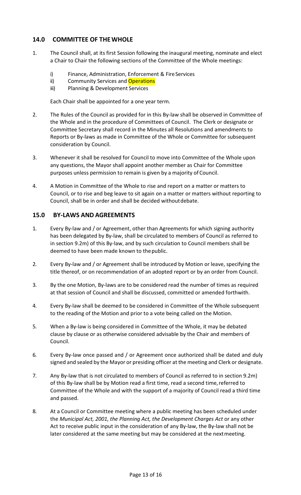# **14.0 COMMITTEE OF THEWHOLE**

- 1. The Council shall, at its first Session following the inaugural meeting, nominate and elect a Chair to Chair the following sections of the Committee of the Whole meetings:
	- i) Finance, Administration, Enforcement & Fire Services
	- ii) Community Services and Operations
	- iii) Planning & Development Services

Each Chair shall be appointed for a one year term.

- 2. The Rules of the Council as provided for in this By-law shall be observed in Committee of the Whole and in the procedure of Committees of Council. The Clerk or designate or Committee Secretary shall record in the Minutes all Resolutions and amendments to Reports or By-laws as made in Committee of the Whole or Committee for subsequent consideration by Council.
- 3. Whenever it shall be resolved for Council to move into Committee of the Whole upon any questions, the Mayor shall appoint another member as Chair for Committee purposes unless permission to remain is given by a majority of Council.
- 4. A Motion in Committee of the Whole to rise and report on a matter or matters to Council, or to rise and beg leave to sit again on a matter or matters without reporting to Council, shall be in order and shall be decided withoutdebate.

#### **15.0 BY-LAWS AND AGREEMENTS**

- 1. Every By-law and / or Agreement, other than Agreements for which signing authority has been delegated by By-law, shall be circulated to members of Council as referred to in section 9.2m) of this By-law, and by such circulation to Council members shall be deemed to have been made known to thepublic.
- 2. Every By-law and / or Agreement shall be introduced by Motion or leave, specifying the title thereof, or on recommendation of an adopted report or by an order from Council.
- 3. By the one Motion, By-laws are to be considered read the number of times as required at that session of Council and shall be discussed, committed or amended forthwith.
- 4. Every By-law shall be deemed to be considered in Committee of the Whole subsequent to the reading of the Motion and prior to a vote being called on the Motion.
- 5. When a By-law is being considered in Committee of the Whole, it may be debated clause by clause or as otherwise considered advisable by the Chair and members of Council.
- 6. Every By-law once passed and / or Agreement once authorized shall be dated and duly signed and sealed by the Mayor or presiding officer at the meeting and Clerk or designate.
- 7. Any By-law that is not circulated to members of Council as referred to in section 9.2m) of this By-law shall be by Motion read a first time, read a second time, referred to Committee of the Whole and with the support of a majority of Council read a third time and passed.
- 8. At a Council or Committee meeting where a public meeting has been scheduled under the *Municipal Act, 2001, the Planning Act, the Development Charges Act* or any other Act to receive public input in the consideration of any By-law, the By-law shall not be later considered at the same meeting but may be considered at the nextmeeting.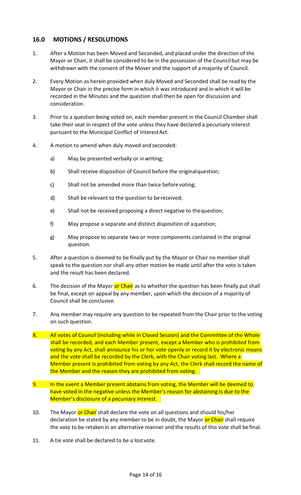# **16.0 MOTIONS / RESOLUTIONS**

- 1. After a Motion has been Moved and Seconded, and placed under the direction of the Mayor or Chair, it shall be considered to be in the possession of the Councilbut may be withdrawn with the consent of the Mover and the support of a majority of Council.
- 2. Every Motion as herein provided when duly Moved and Seconded shall be readby the Mayor or Chair in the precise form in which it was introduced and in which it will be recorded in the Minutes and the question shall then be open for discussion and consideration.
- 3. Prior to a question being voted on, each member present in the Council Chamber shall take their seat in respect of the vote unless they have declared a pecuniary interest pursuant to the Municipal Conflict of InterestAct.
- 4. A motion to amend when duly moved and seconded:
	- a) May be presented verbally or inwriting;
	- b) Shall receive disposition of Council before the originalquestion;
	- c) Shall not be amended more than twice before voting;
	- d) Shall be relevant to the question to bereceived;
	- e) Shall not be received proposing a direct negative to thequestion;
	- f) May propose a separate and distinct disposition of aquestion;
	- g) May propose to separate two or more components contained in the original question.
- 5. After a question is deemed to be finally put by the Mayor or Chair no member shall speak to the question nor shall any other motion be made until after the vote is taken and the result has been declared.
- 6. The decision of the Mayor or Chair as to whether the question has been finally put shall be final, except on appeal by any member, upon which the decision of a majority of Council shall be conclusive.
- 7. Any member may require any question to be repeated from the Chair prior to the voting on such question.
- 8. All votes of Council (including while in Closed Session) and the Committee of the Whole shall be recorded, and each Member present, except a Member who is prohibited from voting by any Act, shall announce his or her vote openly or record it by electronic means and the vote shall be recorded by the Clerk, with the Chair voting last. Where a Member present is prohibited from voting by any Act, the Clerk shall record the name of the Member and the reason they are prohibited from voting.
- 9. In the event a Member present abstains from voting, the Member will be deemed to have voted in the negative unless the Member's reason for abstaining is due to the Member's disclosure of a pecuniary interest.
- 10. The Mayor or Chair shall declare the vote on all questions and should his/her declaration be stated by any member to be in doubt, the Mayor or Chair shall require the vote to be retakenin an alternative manner and the results of this vote shall be final.
- 11. A tie vote shall be declared to be a lost vote.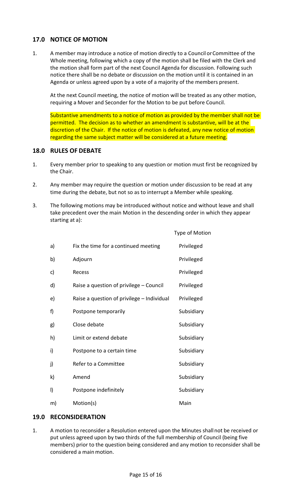# **17.0 NOTICE OF MOTION**

1. A member may introduce a notice of motion directly to a Council orCommittee of the Whole meeting, following which a copy of the motion shall be filed with the Clerk and the motion shall form part of the next Council Agenda for discussion. Following such notice there shall be no debate or discussion on the motion until it is contained in an Agenda or unless agreed upon by a vote of a majority of the members present.

At the next Council meeting, the notice of motion will be treated as any other motion, requiring a Mover and Seconder for the Motion to be put before Council.

Substantive amendments to a notice of motion as provided by the member shall not be permitted. The decision as to whether an amendment is substantive, will be at the discretion of the Chair. If the notice of motion is defeated, any new notice of motion regarding the same subject matter will be considered at a future meeting.

#### **18.0 RULES OF DEBATE**

- 1. Every member prior to speaking to any question or motion must first be recognized by the Chair.
- 2. Any member may require the question or motion under discussion to be read at any time during the debate, but not so as to interrupt a Member while speaking.
- 3. The following motions may be introduced without notice and without leave and shall take precedent over the main Motion in the descending order in which they appear starting at a):

|         |                                            | <b>Type of Motion</b> |
|---------|--------------------------------------------|-----------------------|
| a)      | Fix the time for a continued meeting       | Privileged            |
| b)      | Adjourn                                    | Privileged            |
| c)      | Recess                                     | Privileged            |
| d)      | Raise a question of privilege – Council    | Privileged            |
| e)      | Raise a question of privilege - Individual | Privileged            |
| f)      | Postpone temporarily                       | Subsidiary            |
| g)      | Close debate                               | Subsidiary            |
| h)      | Limit or extend debate                     | Subsidiary            |
| i)      | Postpone to a certain time                 | Subsidiary            |
| j)      | Refer to a Committee                       | Subsidiary            |
| k)      | Amend                                      | Subsidiary            |
| $\vert$ | Postpone indefinitely                      | Subsidiary            |
| m)      | Motion(s)                                  | Main                  |

#### **19.0 RECONSIDERATION**

1. A motion to reconsider a Resolution entered upon the Minutes shallnot be received or put unless agreed upon by two thirds of the full membership of Council (being five members) prior to the question being considered and any motion to reconsider shall be considered a main motion.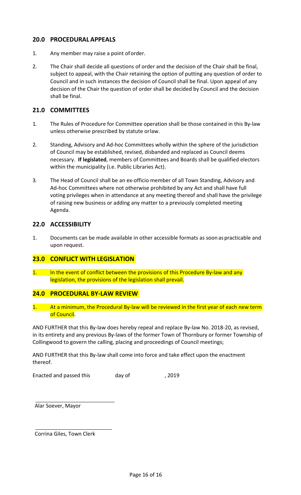# **20.0 PROCEDURALAPPEALS**

- 1. Any member may raise a point oforder.
- 2. The Chair shall decide all questions of order and the decision of the Chair shall be final, subject to appeal, with the Chair retaining the option of putting any question of order to Council and in such instances the decision of Council shall be final. Upon appeal of any decision of the Chair the question of order shall be decided by Council and the decision shall be final.

# **21.0 COMMITTEES**

- 1. The Rules of Procedure for Committee operation shall be those contained in this By-law unless otherwise prescribed by statute orlaw.
- 2. Standing, Advisory and Ad-hoc Committees wholly within the sphere of the jurisdiction of Council may be established, revised, disbanded and replaced as Council deems necessary. **If legislated**, members of Committees and Boards shall be qualified electors within the municipality (i.e. Public Libraries Act).
- 3. The Head of Council shall be an ex-officio member of all Town Standing, Advisory and Ad-hoc Committees where not otherwise prohibited by any Act and shall have full voting privileges when in attendance at any meeting thereof and shall have the privilege of raising new business or adding any matter to a previously completed meeting Agenda.

# **22.0 ACCESSIBILITY**

1. Documents can be made available in other accessible formats as soon aspracticable and upon request.

# **23.0 CONFLICT WITH LEGISLATION**

1. In the event of conflict between the provisions of this Procedure By-law and any legislation, the provisions of the legislation shall prevail.

#### **24.0 PROCEDURAL BY-LAW REVIEW**

At a minimum, the Procedural By-law will be reviewed in the first year of each new term of Council.

AND FURTHER that this By-law does hereby repeal and replace By-law No. 2018-20, as revised, in its entirety and any previous By-laws of the former Town of Thornbury or former Township of Collingwood to govern the calling, placing and proceedings of Council meetings;

AND FURTHER that this By-law shall come into force and take effect upon the enactment thereof.

Enacted and passed this day of the case of the passed this day of the passed that the passed that  $\frac{1}{2}$  and  $\frac{1}{2}$  and  $\frac{1}{2}$  and  $\frac{1}{2}$  and  $\frac{1}{2}$  and  $\frac{1}{2}$  and  $\frac{1}{2}$  and  $\frac{1}{2}$  and  $\frac{1}{2}$  an

Alar Soever, Mayor

Corrina Giles, Town Clerk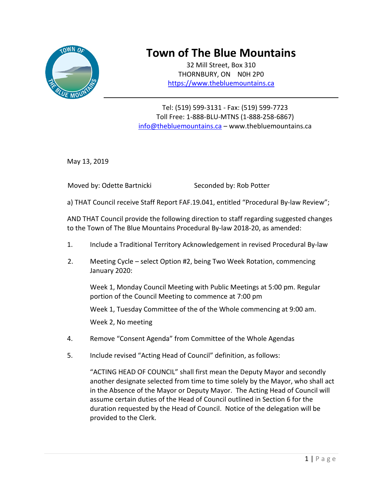

# **Town of The Blue Mountains**

32 Mill Street, Box 310 THORNBURY, ON N0H 2P0 [https://www.thebluemountains.ca](https://www.thebluemountains.ca/)

Tel: (519) 599-3131 - Fax: (519) 599-7723 Toll Free: 1-888-BLU-MTNS (1-888-258-6867) [info@thebluemountains.ca](mailto:info@thebluemountains.ca) – www.thebluemountains.ca

May 13, 2019

Moved by: Odette Bartnicki Seconded by: Rob Potter

a) THAT Council receive Staff Report FAF.19.041, entitled "Procedural By-law Review";

AND THAT Council provide the following direction to staff regarding suggested changes to the Town of The Blue Mountains Procedural By-law 2018-20, as amended:

- 1. Include a Traditional Territory Acknowledgement in revised Procedural By-law
- 2. Meeting Cycle select Option #2, being Two Week Rotation, commencing January 2020:

Week 1, Monday Council Meeting with Public Meetings at 5:00 pm. Regular portion of the Council Meeting to commence at 7:00 pm

Week 1, Tuesday Committee of the of the Whole commencing at 9:00 am.

Week 2, No meeting

- 4. Remove "Consent Agenda" from Committee of the Whole Agendas
- 5. Include revised "Acting Head of Council" definition, as follows:

"ACTING HEAD OF COUNCIL" shall first mean the Deputy Mayor and secondly another designate selected from time to time solely by the Mayor, who shall act in the Absence of the Mayor or Deputy Mayor. The Acting Head of Council will assume certain duties of the Head of Council outlined in Section 6 for the duration requested by the Head of Council. Notice of the delegation will be provided to the Clerk.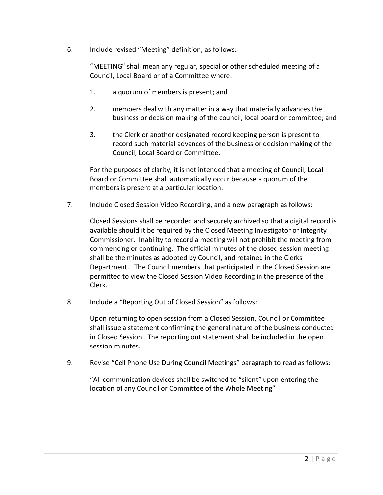6. Include revised "Meeting" definition, as follows:

"MEETING" shall mean any regular, special or other scheduled meeting of a Council, Local Board or of a Committee where:

- 1. a quorum of members is present; and
- 2. members deal with any matter in a way that materially advances the business or decision making of the council, local board or committee; and
- 3. the Clerk or another designated record keeping person is present to record such material advances of the business or decision making of the Council, Local Board or Committee.

For the purposes of clarity, it is not intended that a meeting of Council, Local Board or Committee shall automatically occur because a quorum of the members is present at a particular location.

7. Include Closed Session Video Recording, and a new paragraph as follows:

Closed Sessions shall be recorded and securely archived so that a digital record is available should it be required by the Closed Meeting Investigator or Integrity Commissioner. Inability to record a meeting will not prohibit the meeting from commencing or continuing. The official minutes of the closed session meeting shall be the minutes as adopted by Council, and retained in the Clerks Department. The Council members that participated in the Closed Session are permitted to view the Closed Session Video Recording in the presence of the Clerk.

8. Include a "Reporting Out of Closed Session" as follows:

Upon returning to open session from a Closed Session, Council or Committee shall issue a statement confirming the general nature of the business conducted in Closed Session. The reporting out statement shall be included in the open session minutes.

9. Revise "Cell Phone Use During Council Meetings" paragraph to read as follows:

"All communication devices shall be switched to "silent" upon entering the location of any Council or Committee of the Whole Meeting"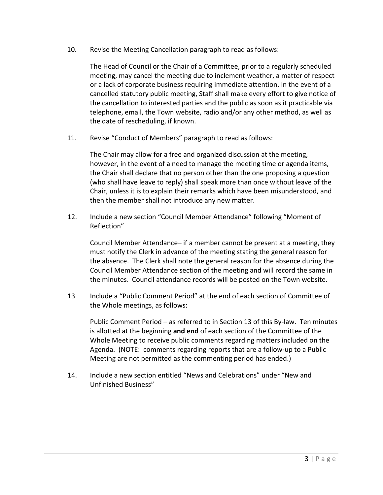10. Revise the Meeting Cancellation paragraph to read as follows:

The Head of Council or the Chair of a Committee, prior to a regularly scheduled meeting, may cancel the meeting due to inclement weather, a matter of respect or a lack of corporate business requiring immediate attention. In the event of a cancelled statutory public meeting, Staff shall make every effort to give notice of the cancellation to interested parties and the public as soon as it practicable via telephone, email, the Town website, radio and/or any other method, as well as the date of rescheduling, if known.

11. Revise "Conduct of Members" paragraph to read as follows:

The Chair may allow for a free and organized discussion at the meeting, however, in the event of a need to manage the meeting time or agenda items, the Chair shall declare that no person other than the one proposing a question (who shall have leave to reply) shall speak more than once without leave of the Chair, unless it is to explain their remarks which have been misunderstood, and then the member shall not introduce any new matter.

12. Include a new section "Council Member Attendance" following "Moment of Reflection"

Council Member Attendance– if a member cannot be present at a meeting, they must notify the Clerk in advance of the meeting stating the general reason for the absence. The Clerk shall note the general reason for the absence during the Council Member Attendance section of the meeting and will record the same in the minutes. Council attendance records will be posted on the Town website.

13 Include a "Public Comment Period" at the end of each section of Committee of the Whole meetings, as follows:

Public Comment Period – as referred to in Section 13 of this By-law. Ten minutes is allotted at the beginning **and end** of each section of the Committee of the Whole Meeting to receive public comments regarding matters included on the Agenda. (NOTE: comments regarding reports that are a follow-up to a Public Meeting are not permitted as the commenting period has ended.)

14. Include a new section entitled "News and Celebrations" under "New and Unfinished Business"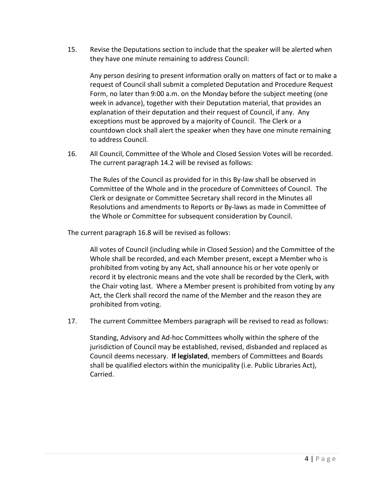15. Revise the Deputations section to include that the speaker will be alerted when they have one minute remaining to address Council:

Any person desiring to present information orally on matters of fact or to make a request of Council shall submit a completed Deputation and Procedure Request Form, no later than 9:00 a.m. on the Monday before the subject meeting (one week in advance), together with their Deputation material, that provides an explanation of their deputation and their request of Council, if any. Any exceptions must be approved by a majority of Council. The Clerk or a countdown clock shall alert the speaker when they have one minute remaining to address Council.

16. All Council, Committee of the Whole and Closed Session Votes will be recorded. The current paragraph 14.2 will be revised as follows:

The Rules of the Council as provided for in this By-law shall be observed in Committee of the Whole and in the procedure of Committees of Council. The Clerk or designate or Committee Secretary shall record in the Minutes all Resolutions and amendments to Reports or By-laws as made in Committee of the Whole or Committee for subsequent consideration by Council.

The current paragraph 16.8 will be revised as follows:

All votes of Council (including while in Closed Session) and the Committee of the Whole shall be recorded, and each Member present, except a Member who is prohibited from voting by any Act, shall announce his or her vote openly or record it by electronic means and the vote shall be recorded by the Clerk, with the Chair voting last. Where a Member present is prohibited from voting by any Act, the Clerk shall record the name of the Member and the reason they are prohibited from voting.

17. The current Committee Members paragraph will be revised to read as follows:

Standing, Advisory and Ad-hoc Committees wholly within the sphere of the jurisdiction of Council may be established, revised, disbanded and replaced as Council deems necessary. **If legislated**, members of Committees and Boards shall be qualified electors within the municipality (i.e. Public Libraries Act), Carried.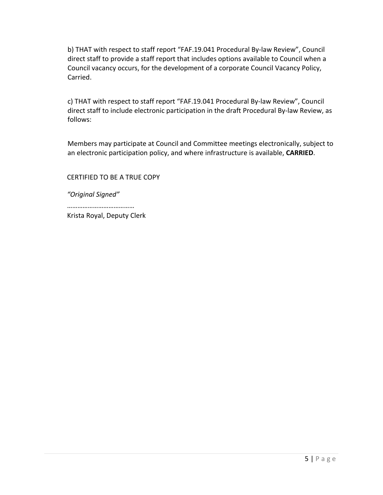b) THAT with respect to staff report "FAF.19.041 Procedural By-law Review", Council direct staff to provide a staff report that includes options available to Council when a Council vacancy occurs, for the development of a corporate Council Vacancy Policy, Carried.

c) THAT with respect to staff report "FAF.19.041 Procedural By-law Review", Council direct staff to include electronic participation in the draft Procedural By-law Review, as follows:

Members may participate at Council and Committee meetings electronically, subject to an electronic participation policy, and where infrastructure is available, **CARRIED**.

CERTIFIED TO BE A TRUE COPY

*"Original Signed"*

…………………………………

Krista Royal, Deputy Clerk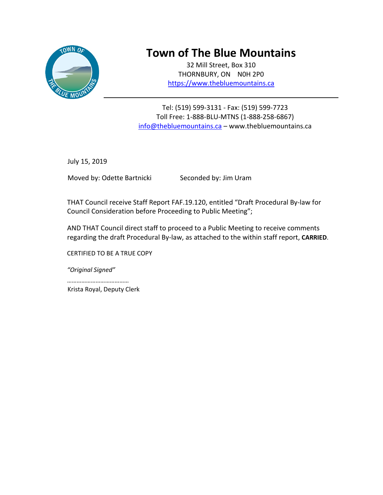

# **Town of The Blue Mountains**

32 Mill Street, Box 310 THORNBURY, ON N0H 2P0 [https://www.thebluemountains.ca](https://www.thebluemountains.ca/)

Tel: (519) 599-3131 - Fax: (519) 599-7723 Toll Free: 1-888-BLU-MTNS (1-888-258-6867) [info@thebluemountains.ca](mailto:info@thebluemountains.ca) - www.thebluemountains.ca

July 15, 2019

Moved by: Odette Bartnicki Seconded by: Jim Uram

THAT Council receive Staff Report FAF.19.120, entitled "Draft Procedural By-law for Council Consideration before Proceeding to Public Meeting";

AND THAT Council direct staff to proceed to a Public Meeting to receive comments regarding the draft Procedural By-law, as attached to the within staff report, **CARRIED**.

CERTIFIED TO BE A TRUE COPY

*"Original Signed"*

………………………………… Krista Royal, Deputy Clerk